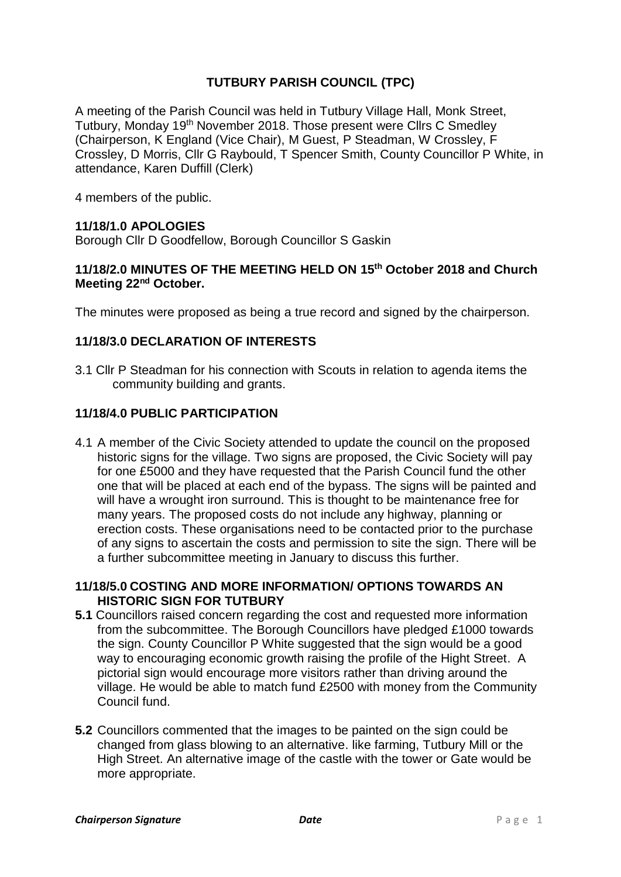## **TUTBURY PARISH COUNCIL (TPC)**

A meeting of the Parish Council was held in Tutbury Village Hall, Monk Street, Tutbury, Monday 19<sup>th</sup> November 2018. Those present were Cllrs C Smedley (Chairperson, K England (Vice Chair), M Guest, P Steadman, W Crossley, F Crossley, D Morris, Cllr G Raybould, T Spencer Smith, County Councillor P White, in attendance, Karen Duffill (Clerk)

4 members of the public.

### **11/18/1.0 APOLOGIES**

Borough Cllr D Goodfellow, Borough Councillor S Gaskin

### **11/18/2.0 MINUTES OF THE MEETING HELD ON 15 th October 2018 and Church Meeting 22nd October.**

The minutes were proposed as being a true record and signed by the chairperson.

#### **11/18/3.0 DECLARATION OF INTERESTS**

3.1 Cllr P Steadman for his connection with Scouts in relation to agenda items the community building and grants.

### **11/18/4.0 PUBLIC PARTICIPATION**

4.1 A member of the Civic Society attended to update the council on the proposed historic signs for the village. Two signs are proposed, the Civic Society will pay for one £5000 and they have requested that the Parish Council fund the other one that will be placed at each end of the bypass. The signs will be painted and will have a wrought iron surround. This is thought to be maintenance free for many years. The proposed costs do not include any highway, planning or erection costs. These organisations need to be contacted prior to the purchase of any signs to ascertain the costs and permission to site the sign. There will be a further subcommittee meeting in January to discuss this further.

#### **11/18/5.0 COSTING AND MORE INFORMATION/ OPTIONS TOWARDS AN HISTORIC SIGN FOR TUTBURY**

- **5.1** Councillors raised concern regarding the cost and requested more information from the subcommittee. The Borough Councillors have pledged £1000 towards the sign. County Councillor P White suggested that the sign would be a good way to encouraging economic growth raising the profile of the Hight Street. A pictorial sign would encourage more visitors rather than driving around the village. He would be able to match fund £2500 with money from the Community Council fund.
- **5.2** Councillors commented that the images to be painted on the sign could be changed from glass blowing to an alternative. like farming, Tutbury Mill or the High Street. An alternative image of the castle with the tower or Gate would be more appropriate.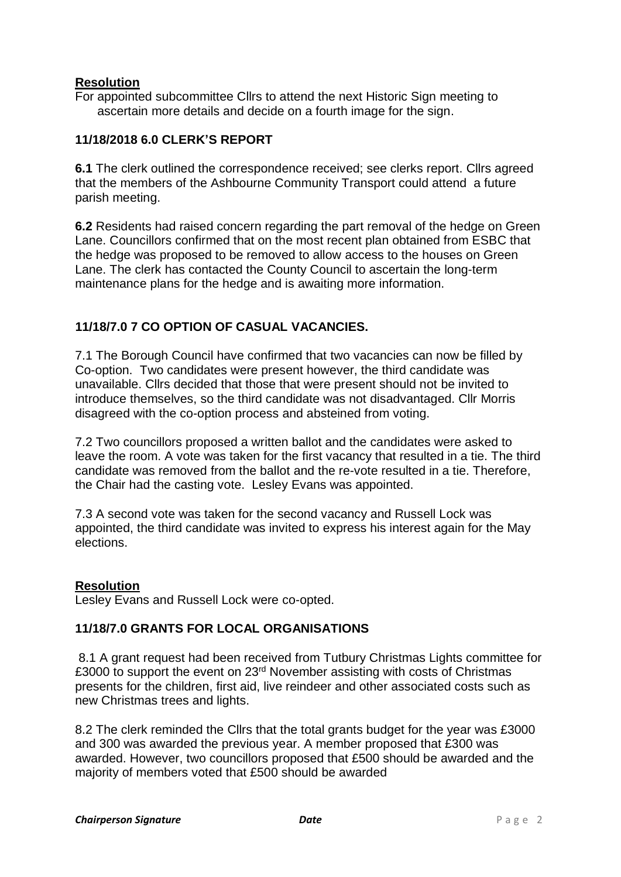### **Resolution**

For appointed subcommittee Cllrs to attend the next Historic Sign meeting to ascertain more details and decide on a fourth image for the sign.

### **11/18/2018 6.0 CLERK'S REPORT**

**6.1** The clerk outlined the correspondence received; see clerks report. Cllrs agreed that the members of the Ashbourne Community Transport could attend a future parish meeting.

**6.2** Residents had raised concern regarding the part removal of the hedge on Green Lane. Councillors confirmed that on the most recent plan obtained from ESBC that the hedge was proposed to be removed to allow access to the houses on Green Lane. The clerk has contacted the County Council to ascertain the long-term maintenance plans for the hedge and is awaiting more information.

### **11/18/7.0 7 CO OPTION OF CASUAL VACANCIES.**

7.1 The Borough Council have confirmed that two vacancies can now be filled by Co-option. Two candidates were present however, the third candidate was unavailable. Cllrs decided that those that were present should not be invited to introduce themselves, so the third candidate was not disadvantaged. Cllr Morris disagreed with the co-option process and absteined from voting.

7.2 Two councillors proposed a written ballot and the candidates were asked to leave the room. A vote was taken for the first vacancy that resulted in a tie. The third candidate was removed from the ballot and the re-vote resulted in a tie. Therefore, the Chair had the casting vote. Lesley Evans was appointed.

7.3 A second vote was taken for the second vacancy and Russell Lock was appointed, the third candidate was invited to express his interest again for the May elections.

#### **Resolution**

Lesley Evans and Russell Lock were co-opted.

#### **11/18/7.0 GRANTS FOR LOCAL ORGANISATIONS**

8.1 A grant request had been received from Tutbury Christmas Lights committee for £3000 to support the event on 23rd November assisting with costs of Christmas presents for the children, first aid, live reindeer and other associated costs such as new Christmas trees and lights.

8.2 The clerk reminded the Cllrs that the total grants budget for the year was £3000 and 300 was awarded the previous year. A member proposed that £300 was awarded. However, two councillors proposed that £500 should be awarded and the majority of members voted that £500 should be awarded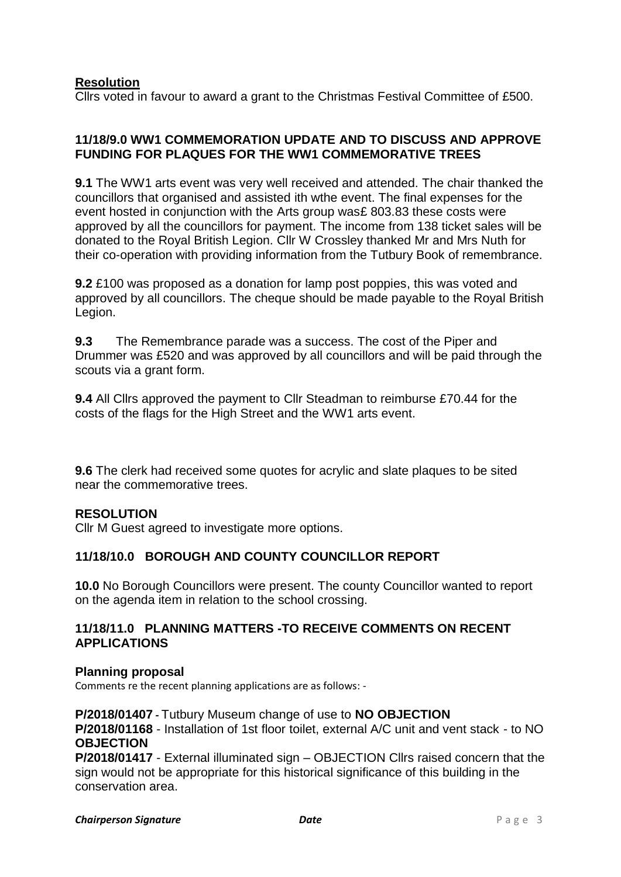### **Resolution**

Cllrs voted in favour to award a grant to the Christmas Festival Committee of £500.

#### **11/18/9.0 WW1 COMMEMORATION UPDATE AND TO DISCUSS AND APPROVE FUNDING FOR PLAQUES FOR THE WW1 COMMEMORATIVE TREES**

**9.1** The WW1 arts event was very well received and attended. The chair thanked the councillors that organised and assisted ith wthe event. The final expenses for the event hosted in conjunction with the Arts group was£ 803.83 these costs were approved by all the councillors for payment. The income from 138 ticket sales will be donated to the Royal British Legion. Cllr W Crossley thanked Mr and Mrs Nuth for their co-operation with providing information from the Tutbury Book of remembrance.

**9.2** £100 was proposed as a donation for lamp post poppies, this was voted and approved by all councillors. The cheque should be made payable to the Royal British Legion.

**9.3** The Remembrance parade was a success. The cost of the Piper and Drummer was £520 and was approved by all councillors and will be paid through the scouts via a grant form.

**9.4** All Cllrs approved the payment to Cllr Steadman to reimburse £70.44 for the costs of the flags for the High Street and the WW1 arts event.

**9.6** The clerk had received some quotes for acrylic and slate plaques to be sited near the commemorative trees.

#### **RESOLUTION**

Cllr M Guest agreed to investigate more options.

### **11/18/10.0 BOROUGH AND COUNTY COUNCILLOR REPORT**

**10.0** No Borough Councillors were present. The county Councillor wanted to report on the agenda item in relation to the school crossing.

#### **11/18/11.0 PLANNING MATTERS -TO RECEIVE COMMENTS ON RECENT APPLICATIONS**

#### **Planning proposal**

Comments re the recent planning applications are as follows: -

**P/2018/01407 -** Tutbury Museum change of use to **NO OBJECTION P/2018/01168** - Installation of 1st floor toilet, external A/C unit and vent stack - to NO **OBJECTION**

**P/2018/01417** - External illuminated sign – OBJECTION Cllrs raised concern that the sign would not be appropriate for this historical significance of this building in the conservation area.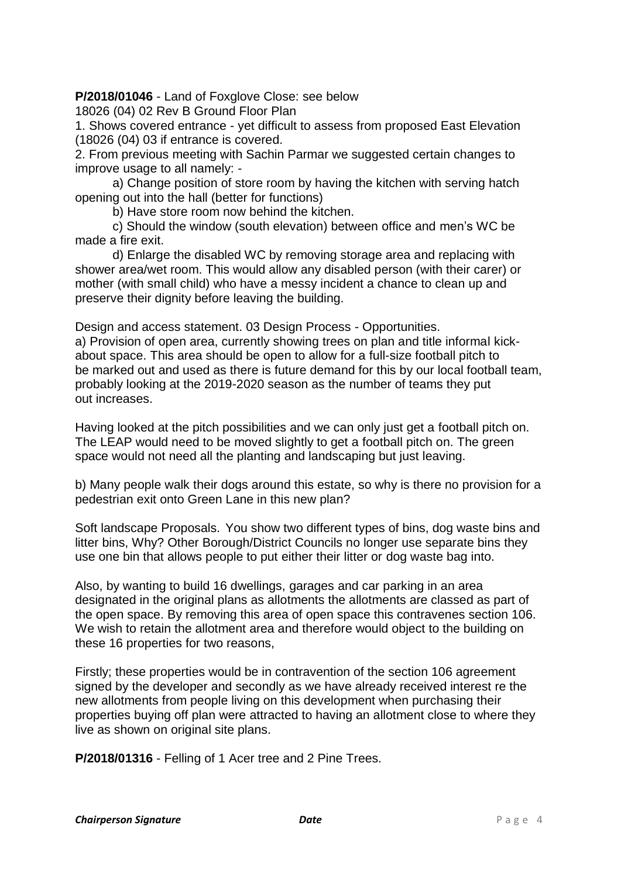**P/2018/01046** - Land of Foxglove Close: see below

18026 (04) 02 Rev B Ground Floor Plan

1. Shows covered entrance - yet difficult to assess from proposed East Elevation (18026 (04) 03 if entrance is covered.

2. From previous meeting with Sachin Parmar we suggested certain changes to improve usage to all namely: -

a) Change position of store room by having the kitchen with serving hatch opening out into the hall (better for functions)

b) Have store room now behind the kitchen.

c) Should the window (south elevation) between office and men's WC be made a fire exit.

d) Enlarge the disabled WC by removing storage area and replacing with shower area/wet room. This would allow any disabled person (with their carer) or mother (with small child) who have a messy incident a chance to clean up and preserve their dignity before leaving the building.

Design and access statement. 03 Design Process - Opportunities. a) Provision of open area, currently showing trees on plan and title informal kickabout space. This area should be open to allow for a full-size football pitch to be marked out and used as there is future demand for this by our local football team, probably looking at the 2019-2020 season as the number of teams they put out increases.

Having looked at the pitch possibilities and we can only just get a football pitch on. The LEAP would need to be moved slightly to get a football pitch on. The green space would not need all the planting and landscaping but just leaving.

b) Many people walk their dogs around this estate, so why is there no provision for a pedestrian exit onto Green Lane in this new plan?

Soft landscape Proposals. You show two different types of bins, dog waste bins and litter bins, Why? Other Borough/District Councils no longer use separate bins they use one bin that allows people to put either their litter or dog waste bag into.

Also, by wanting to build 16 dwellings, garages and car parking in an area designated in the original plans as allotments the allotments are classed as part of the open space. By removing this area of open space this contravenes section 106. We wish to retain the allotment area and therefore would object to the building on these 16 properties for two reasons,

Firstly; these properties would be in contravention of the section 106 agreement signed by the developer and secondly as we have already received interest re the new allotments from people living on this development when purchasing their properties buying off plan were attracted to having an allotment close to where they live as shown on original site plans.

**P/2018/01316** - Felling of 1 Acer tree and 2 Pine Trees.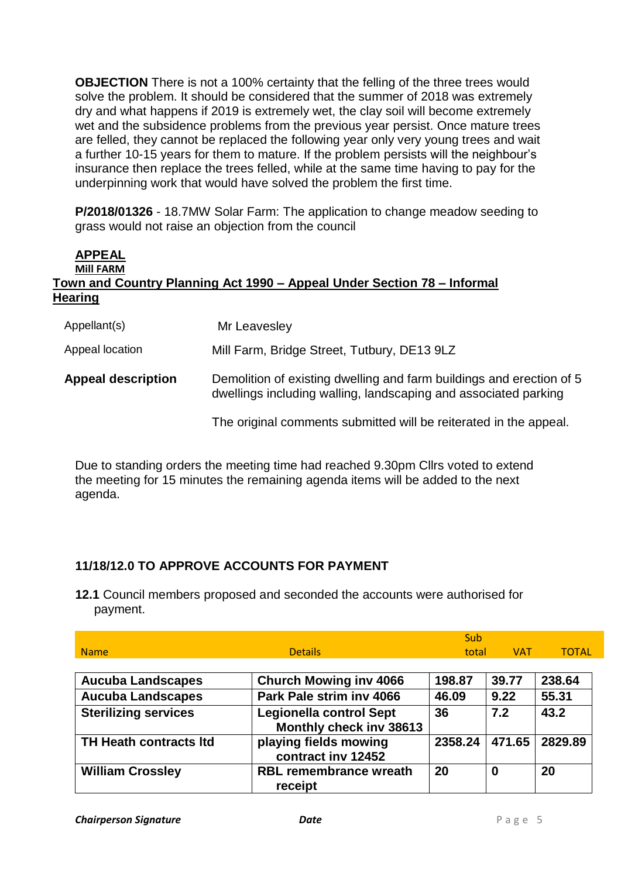**OBJECTION** There is not a 100% certainty that the felling of the three trees would solve the problem. It should be considered that the summer of 2018 was extremely dry and what happens if 2019 is extremely wet, the clay soil will become extremely wet and the subsidence problems from the previous year persist. Once mature trees are felled, they cannot be replaced the following year only very young trees and wait a further 10-15 years for them to mature. If the problem persists will the neighbour's insurance then replace the trees felled, while at the same time having to pay for the underpinning work that would have solved the problem the first time.

**P/2018/01326** - 18.7MW Solar Farm: The application to change meadow seeding to grass would not raise an objection from the council

### **APPEAL Mill FARM Town and Country Planning Act 1990 – Appeal Under Section 78 – Informal Hearing**

| Appellant(s)              | Mr Leavesley                                                                                                                            |
|---------------------------|-----------------------------------------------------------------------------------------------------------------------------------------|
| Appeal location           | Mill Farm, Bridge Street, Tutbury, DE13 9LZ                                                                                             |
| <b>Appeal description</b> | Demolition of existing dwelling and farm buildings and erection of 5<br>dwellings including walling, landscaping and associated parking |
|                           | The original comments submitted will be reiterated in the appeal.                                                                       |

Due to standing orders the meeting time had reached 9.30pm Cllrs voted to extend the meeting for 15 minutes the remaining agenda items will be added to the next agenda.

# **11/18/12.0 TO APPROVE ACCOUNTS FOR PAYMENT**

**12.1** Council members proposed and seconded the accounts were authorised for payment.

|                               |                                                           | Sub     |            |              |
|-------------------------------|-----------------------------------------------------------|---------|------------|--------------|
| <b>Name</b>                   | <b>Details</b>                                            | total   | <b>VAT</b> | <b>TOTAL</b> |
|                               |                                                           |         |            |              |
| <b>Aucuba Landscapes</b>      | <b>Church Mowing inv 4066</b>                             | 198.87  | 39.77      | 238.64       |
| <b>Aucuba Landscapes</b>      | Park Pale strim inv 4066                                  | 46.09   | 9.22       | 55.31        |
| <b>Sterilizing services</b>   | <b>Legionella control Sept</b><br>Monthly check inv 38613 | 36      | 7.2        | 43.2         |
| <b>TH Heath contracts Itd</b> | playing fields mowing<br>contract inv 12452               | 2358.24 | 471.65     | 2829.89      |
| <b>William Crossley</b>       | <b>RBL remembrance wreath</b><br>receipt                  | 20      | 0          | 20           |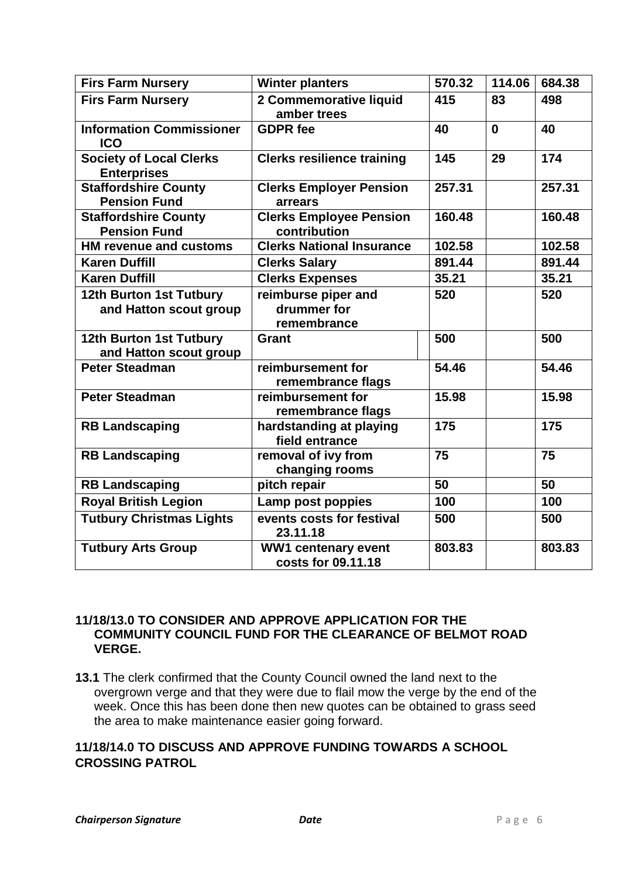| <b>Firs Farm Nursery</b>                             | <b>Winter planters</b>                            | 570.32 | 114.06   | 684.38 |
|------------------------------------------------------|---------------------------------------------------|--------|----------|--------|
| <b>Firs Farm Nursery</b>                             | 2 Commemorative liquid<br>amber trees             | 415    | 83       | 498    |
| <b>Information Commissioner</b><br><b>ICO</b>        | <b>GDPR</b> fee                                   | 40     | $\bf{0}$ | 40     |
| <b>Society of Local Clerks</b><br><b>Enterprises</b> | <b>Clerks resilience training</b>                 | 145    | 29       | 174    |
| <b>Staffordshire County</b><br><b>Pension Fund</b>   | <b>Clerks Employer Pension</b><br>arrears         | 257.31 |          | 257.31 |
| <b>Staffordshire County</b><br><b>Pension Fund</b>   | <b>Clerks Employee Pension</b><br>contribution    | 160.48 |          | 160.48 |
| <b>HM revenue and customs</b>                        | <b>Clerks National Insurance</b>                  | 102.58 |          | 102.58 |
| <b>Karen Duffill</b>                                 | <b>Clerks Salary</b>                              | 891.44 |          | 891.44 |
| <b>Karen Duffill</b>                                 | <b>Clerks Expenses</b>                            | 35.21  |          | 35.21  |
| 12th Burton 1st Tutbury<br>and Hatton scout group    | reimburse piper and<br>drummer for<br>remembrance | 520    |          | 520    |
| 12th Burton 1st Tutbury<br>and Hatton scout group    | <b>Grant</b>                                      | 500    |          | 500    |
| <b>Peter Steadman</b>                                | reimbursement for<br>remembrance flags            | 54.46  |          | 54.46  |
| <b>Peter Steadman</b>                                | reimbursement for<br>remembrance flags            | 15.98  |          | 15.98  |
| <b>RB Landscaping</b>                                | hardstanding at playing<br>field entrance         | 175    |          | 175    |
| <b>RB Landscaping</b>                                | removal of ivy from<br>changing rooms             | 75     |          | 75     |
| <b>RB Landscaping</b>                                | pitch repair                                      | 50     |          | 50     |
| <b>Royal British Legion</b>                          | Lamp post poppies                                 | 100    |          | 100    |
| <b>Tutbury Christmas Lights</b>                      | events costs for festival<br>23.11.18             | 500    |          | 500    |
| <b>Tutbury Arts Group</b>                            | WW1 centenary event<br>costs for 09.11.18         | 803.83 |          | 803.83 |

#### **11/18/13.0 TO CONSIDER AND APPROVE APPLICATION FOR THE COMMUNITY COUNCIL FUND FOR THE CLEARANCE OF BELMOT ROAD VERGE.**

**13.1** The clerk confirmed that the County Council owned the land next to the overgrown verge and that they were due to flail mow the verge by the end of the week. Once this has been done then new quotes can be obtained to grass seed the area to make maintenance easier going forward.

### **11/18/14.0 TO DISCUSS AND APPROVE FUNDING TOWARDS A SCHOOL CROSSING PATROL**